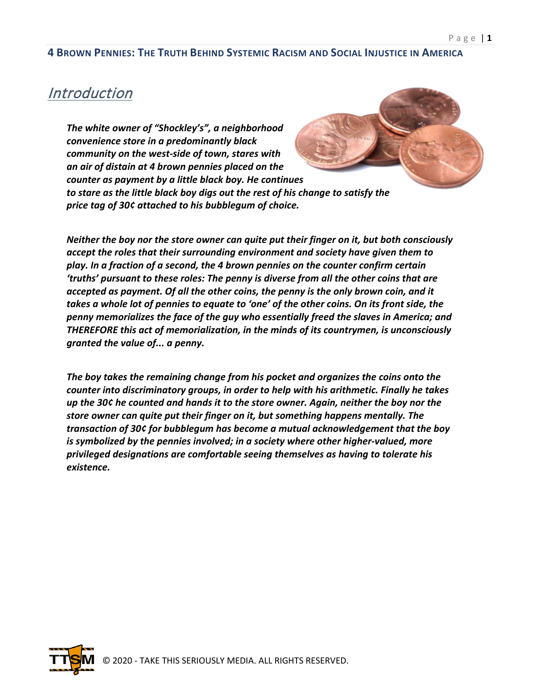### **Introduction**

*The white owner of "Shockley's", a neighborhood convenience store in a predominantly black community on the west-side of town, stares with an air of distain at 4 brown pennies placed on the counter as payment by a little black boy. He continues to stare as the little black boy digs out the rest of his change to satisfy the price tag of 30¢ attached to his bubblegum of choice.* 

*Neither the boy nor the store owner can quite put their finger on it, but both consciously accept the roles that their surrounding environment and society have given them to play. In a fraction of a second, the 4 brown pennies on the counter confirm certain 'truths' pursuant to these roles: The penny is diverse from all the other coins that are accepted as payment. Of all the other coins, the penny is the only brown coin, and it takes a whole lot of pennies to equate to 'one' of the other coins. On its front side, the penny memorializes the face of the guy who essentially freed the slaves in America; and THEREFORE this act of memorialization, in the minds of its countrymen, is unconsciously granted the value of... a penny.* 

*The boy takes the remaining change from his pocket and organizes the coins onto the counter into discriminatory groups, in order to help with his arithmetic. Finally he takes up the 30¢ he counted and hands it to the store owner. Again, neither the boy nor the store owner can quite put their finger on it, but something happens mentally. The transaction of 30¢ for bubblegum has become a mutual acknowledgement that the boy is symbolized by the pennies involved; in a society where other higher-valued, more privileged designations are comfortable seeing themselves as having to tolerate his existence.*

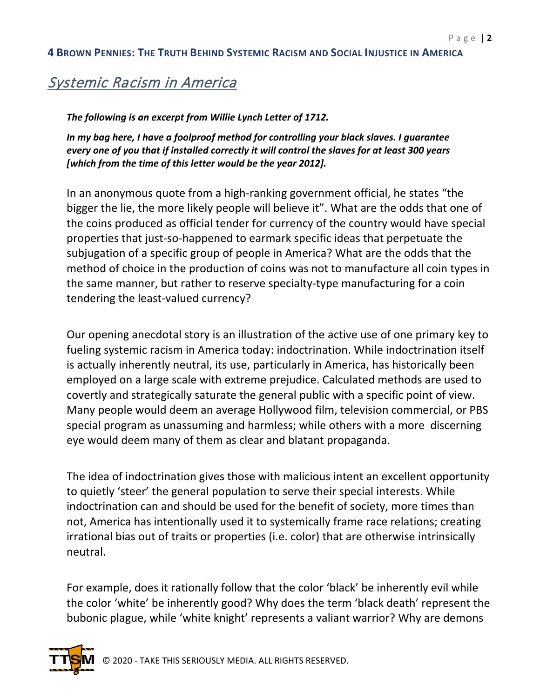## Systemic Racism in America

*The following is an excerpt from Willie Lynch Letter of 1712.*

*In my bag here, I have a foolproof method for controlling your black slaves. I guarantee every one of you that if installed correctly it will control the slaves for at least 300 years [which from the time of this letter would be the year 2012].*

In an anonymous quote from a high-ranking government official, he states "the bigger the lie, the more likely people will believe it". What are the odds that one of the coins produced as official tender for currency of the country would have special properties that just-so-happened to earmark specific ideas that perpetuate the subjugation of a specific group of people in America? What are the odds that the method of choice in the production of coins was not to manufacture all coin types in the same manner, but rather to reserve specialty-type manufacturing for a coin tendering the least-valued currency?

Our opening anecdotal story is an illustration of the active use of one primary key to fueling systemic racism in America today: indoctrination. While indoctrination itself is actually inherently neutral, its use, particularly in America, has historically been employed on a large scale with extreme prejudice. Calculated methods are used to covertly and strategically saturate the general public with a specific point of view. Many people would deem an average Hollywood film, television commercial, or PBS special program as unassuming and harmless; while others with a more discerning eye would deem many of them as clear and blatant propaganda.

The idea of indoctrination gives those with malicious intent an excellent opportunity to quietly 'steer' the general population to serve their special interests. While indoctrination can and should be used for the benefit of society, more times than not, America has intentionally used it to systemically frame race relations; creating irrational bias out of traits or properties (i.e. color) that are otherwise intrinsically neutral.

For example, does it rationally follow that the color 'black' be inherently evil while the color 'white' be inherently good? Why does the term 'black death' represent the bubonic plague, while 'white knight' represents a valiant warrior? Why are demons

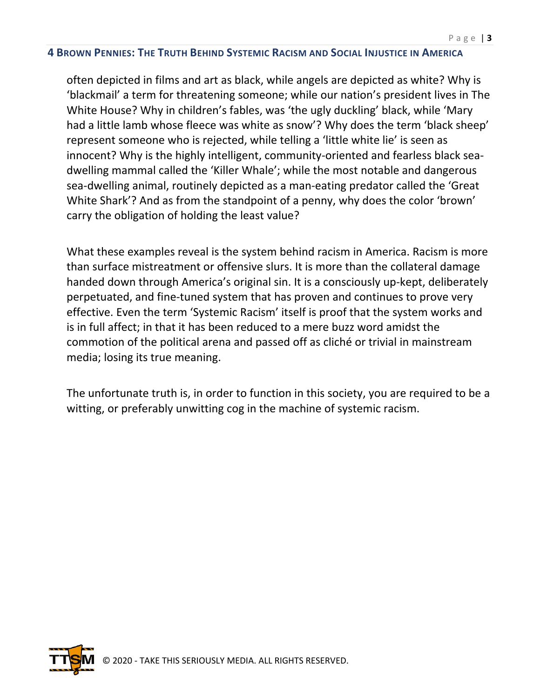often depicted in films and art as black, while angels are depicted as white? Why is 'blackmail' a term for threatening someone; while our nation's president lives in The White House? Why in children's fables, was 'the ugly duckling' black, while 'Mary had a little lamb whose fleece was white as snow'? Why does the term 'black sheep' represent someone who is rejected, while telling a 'little white lie' is seen as innocent? Why is the highly intelligent, community-oriented and fearless black seadwelling mammal called the 'Killer Whale'; while the most notable and dangerous sea-dwelling animal, routinely depicted as a man-eating predator called the 'Great White Shark'? And as from the standpoint of a penny, why does the color 'brown' carry the obligation of holding the least value?

What these examples reveal is the system behind racism in America. Racism is more than surface mistreatment or offensive slurs. It is more than the collateral damage handed down through America's original sin. It is a consciously up-kept, deliberately perpetuated, and fine-tuned system that has proven and continues to prove very effective. Even the term 'Systemic Racism' itself is proof that the system works and is in full affect; in that it has been reduced to a mere buzz word amidst the commotion of the political arena and passed off as cliché or trivial in mainstream media; losing its true meaning.

The unfortunate truth is, in order to function in this society, you are required to be a witting, or preferably unwitting cog in the machine of systemic racism.

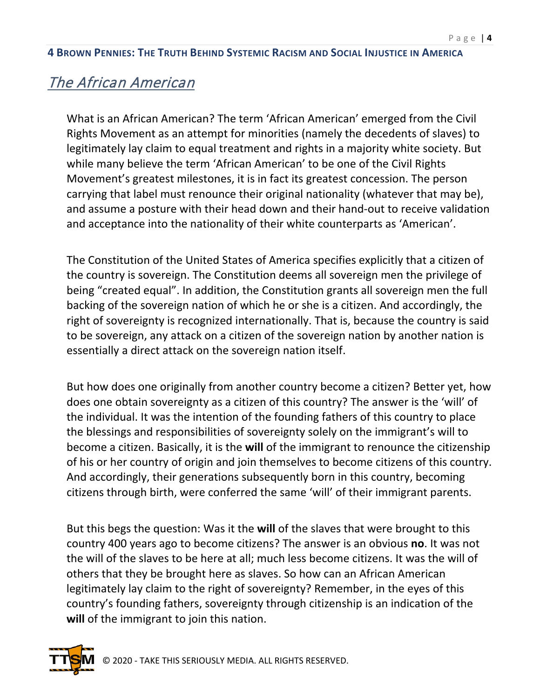## The African American

What is an African American? The term 'African American' emerged from the Civil Rights Movement as an attempt for minorities (namely the decedents of slaves) to legitimately lay claim to equal treatment and rights in a majority white society. But while many believe the term 'African American' to be one of the Civil Rights Movement's greatest milestones, it is in fact its greatest concession. The person carrying that label must renounce their original nationality (whatever that may be), and assume a posture with their head down and their hand-out to receive validation and acceptance into the nationality of their white counterparts as 'American'.

The Constitution of the United States of America specifies explicitly that a citizen of the country is sovereign. The Constitution deems all sovereign men the privilege of being "created equal". In addition, the Constitution grants all sovereign men the full backing of the sovereign nation of which he or she is a citizen. And accordingly, the right of sovereignty is recognized internationally. That is, because the country is said to be sovereign, any attack on a citizen of the sovereign nation by another nation is essentially a direct attack on the sovereign nation itself.

But how does one originally from another country become a citizen? Better yet, how does one obtain sovereignty as a citizen of this country? The answer is the 'will' of the individual. It was the intention of the founding fathers of this country to place the blessings and responsibilities of sovereignty solely on the immigrant's will to become a citizen. Basically, it is the **will** of the immigrant to renounce the citizenship of his or her country of origin and join themselves to become citizens of this country. And accordingly, their generations subsequently born in this country, becoming citizens through birth, were conferred the same 'will' of their immigrant parents.

But this begs the question: Was it the **will** of the slaves that were brought to this country 400 years ago to become citizens? The answer is an obvious **no**. It was not the will of the slaves to be here at all; much less become citizens. It was the will of others that they be brought here as slaves. So how can an African American legitimately lay claim to the right of sovereignty? Remember, in the eyes of this country's founding fathers, sovereignty through citizenship is an indication of the **will** of the immigrant to join this nation.

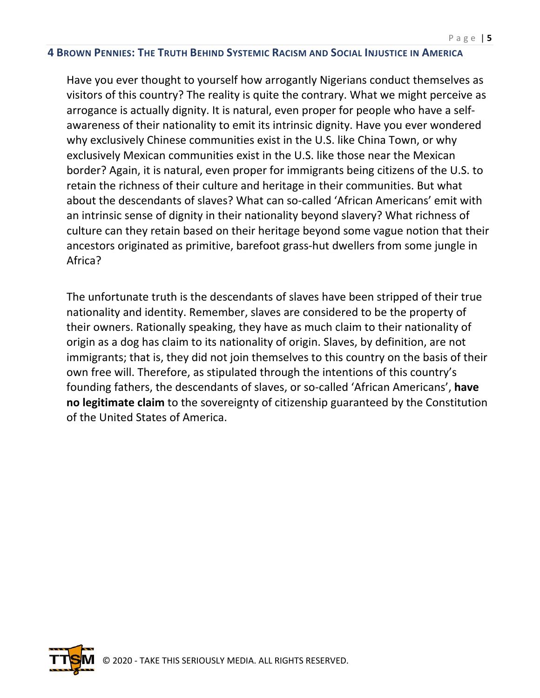Have you ever thought to yourself how arrogantly Nigerians conduct themselves as visitors of this country? The reality is quite the contrary. What we might perceive as arrogance is actually dignity. It is natural, even proper for people who have a selfawareness of their nationality to emit its intrinsic dignity. Have you ever wondered why exclusively Chinese communities exist in the U.S. like China Town, or why exclusively Mexican communities exist in the U.S. like those near the Mexican border? Again, it is natural, even proper for immigrants being citizens of the U.S. to retain the richness of their culture and heritage in their communities. But what about the descendants of slaves? What can so-called 'African Americans' emit with an intrinsic sense of dignity in their nationality beyond slavery? What richness of culture can they retain based on their heritage beyond some vague notion that their ancestors originated as primitive, barefoot grass-hut dwellers from some jungle in Africa?

The unfortunate truth is the descendants of slaves have been stripped of their true nationality and identity. Remember, slaves are considered to be the property of their owners. Rationally speaking, they have as much claim to their nationality of origin as a dog has claim to its nationality of origin. Slaves, by definition, are not immigrants; that is, they did not join themselves to this country on the basis of their own free will. Therefore, as stipulated through the intentions of this country's founding fathers, the descendants of slaves, or so-called 'African Americans', **have no legitimate claim** to the sovereignty of citizenship guaranteed by the Constitution of the United States of America.